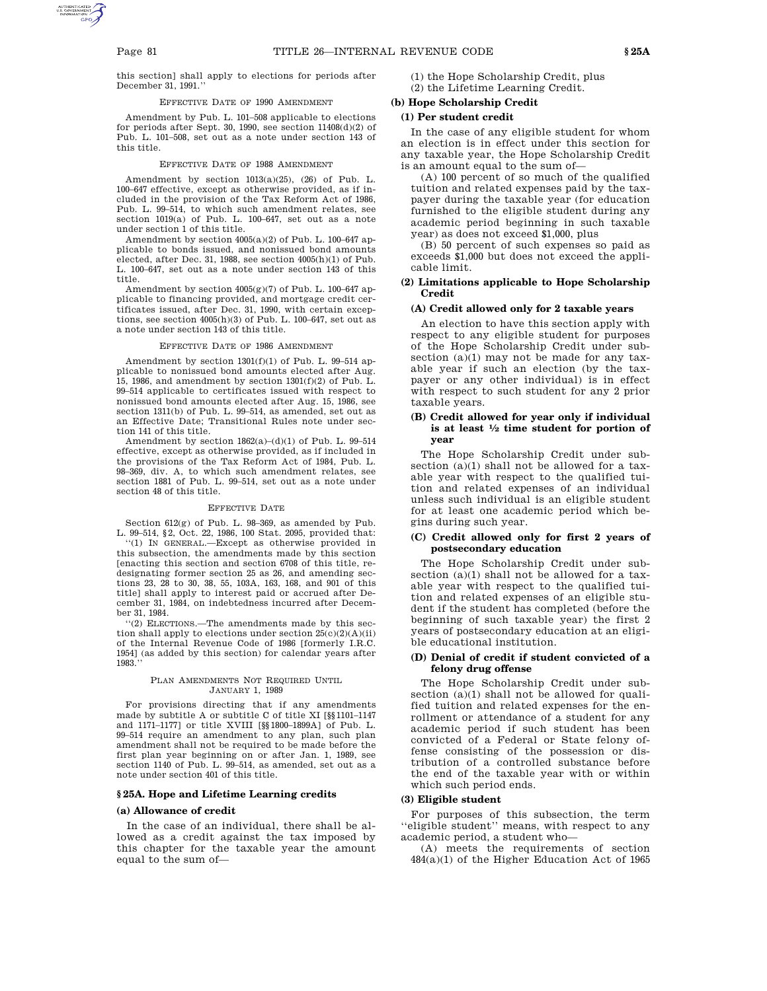this section] shall apply to elections for periods after December 31, 1991.''

# EFFECTIVE DATE OF 1990 AMENDMENT

Amendment by Pub. L. 101–508 applicable to elections for periods after Sept. 30, 1990, see section 11408(d)(2) of Pub. L. 101–508, set out as a note under section 143 of this title.

### EFFECTIVE DATE OF 1988 AMENDMENT

Amendment by section  $1013(a)(25)$ ,  $(26)$  of Pub. L. 100–647 effective, except as otherwise provided, as if included in the provision of the Tax Reform Act of 1986, Pub. L. 99–514, to which such amendment relates, see section 1019(a) of Pub. L. 100–647, set out as a note under section 1 of this title.

Amendment by section  $4005(a)(2)$  of Pub. L. 100-647 applicable to bonds issued, and nonissued bond amounts elected, after Dec. 31, 1988, see section 4005(h)(1) of Pub. L. 100–647, set out as a note under section 143 of this title.

Amendment by section 4005(g)(7) of Pub. L. 100–647 applicable to financing provided, and mortgage credit certificates issued, after Dec. 31, 1990, with certain exceptions, see section 4005(h)(3) of Pub. L. 100–647, set out as a note under section 143 of this title.

## EFFECTIVE DATE OF 1986 AMENDMENT

Amendment by section 1301(f)(1) of Pub. L. 99–514 applicable to nonissued bond amounts elected after Aug. 15, 1986, and amendment by section 1301(f)(2) of Pub. L. 99–514 applicable to certificates issued with respect to nonissued bond amounts elected after Aug. 15, 1986, see section 1311(b) of Pub. L. 99–514, as amended, set out as an Effective Date; Transitional Rules note under section 141 of this title.

Amendment by section 1862(a)–(d)(1) of Pub. L. 99–514 effective, except as otherwise provided, as if included in the provisions of the Tax Reform Act of 1984, Pub. L. 98–369, div. A, to which such amendment relates, see section 1881 of Pub. L. 99–514, set out as a note under section 48 of this title.

#### EFFECTIVE DATE

Section 612(g) of Pub. L. 98–369, as amended by Pub. L. 99–514, §2, Oct. 22, 1986, 100 Stat. 2095, provided that:

''(1) IN GENERAL.—Except as otherwise provided in this subsection, the amendments made by this section [enacting this section and section 6708 of this title, redesignating former section 25 as 26, and amending sections 23, 28 to 30, 38, 55, 103A, 163, 168, and 901 of this title] shall apply to interest paid or accrued after December 31, 1984, on indebtedness incurred after December 31, 1984.

''(2) ELECTIONS.—The amendments made by this section shall apply to elections under section 25(c)(2)(A)(ii) of the Internal Revenue Code of 1986 [formerly I.R.C. 1954] (as added by this section) for calendar years after 1983.''

## PLAN AMENDMENTS NOT REQUIRED UNTIL JANUARY 1, 1989

For provisions directing that if any amendments made by subtitle A or subtitle C of title XI [§§1101–1147 and 1171–1177] or title XVIII [§§1800–1899A] of Pub. L. 99–514 require an amendment to any plan, such plan amendment shall not be required to be made before the first plan year beginning on or after Jan. 1, 1989, see section 1140 of Pub. L. 99–514, as amended, set out as a note under section 401 of this title.

## **§ 25A. Hope and Lifetime Learning credits**

#### **(a) Allowance of credit**

In the case of an individual, there shall be allowed as a credit against the tax imposed by this chapter for the taxable year the amount equal to the sum of(1) the Hope Scholarship Credit, plus (2) the Lifetime Learning Credit.

# **(b) Hope Scholarship Credit**

# **(1) Per student credit**

In the case of any eligible student for whom an election is in effect under this section for any taxable year, the Hope Scholarship Credit is an amount equal to the sum of—

(A) 100 percent of so much of the qualified tuition and related expenses paid by the taxpayer during the taxable year (for education furnished to the eligible student during any academic period beginning in such taxable year) as does not exceed \$1,000, plus

(B) 50 percent of such expenses so paid as exceeds \$1,000 but does not exceed the applicable limit.

## **(2) Limitations applicable to Hope Scholarship Credit**

## **(A) Credit allowed only for 2 taxable years**

An election to have this section apply with respect to any eligible student for purposes of the Hope Scholarship Credit under subsection (a)(1) may not be made for any taxable year if such an election (by the taxpayer or any other individual) is in effect with respect to such student for any 2 prior taxable years.

# **(B) Credit allowed for year only if individual is at least <sup>1</sup> ⁄2 time student for portion of year**

The Hope Scholarship Credit under subsection  $(a)(1)$  shall not be allowed for a taxable year with respect to the qualified tuition and related expenses of an individual unless such individual is an eligible student for at least one academic period which begins during such year.

## **(C) Credit allowed only for first 2 years of postsecondary education**

The Hope Scholarship Credit under subsection (a)(1) shall not be allowed for a taxable year with respect to the qualified tuition and related expenses of an eligible student if the student has completed (before the beginning of such taxable year) the first 2 years of postsecondary education at an eligible educational institution.

# **(D) Denial of credit if student convicted of a felony drug offense**

The Hope Scholarship Credit under subsection (a)(1) shall not be allowed for qualified tuition and related expenses for the enrollment or attendance of a student for any academic period if such student has been convicted of a Federal or State felony offense consisting of the possession or distribution of a controlled substance before the end of the taxable year with or within which such period ends.

#### **(3) Eligible student**

For purposes of this subsection, the term ''eligible student'' means, with respect to any academic period, a student who—

(A) meets the requirements of section 484(a)(1) of the Higher Education Act of 1965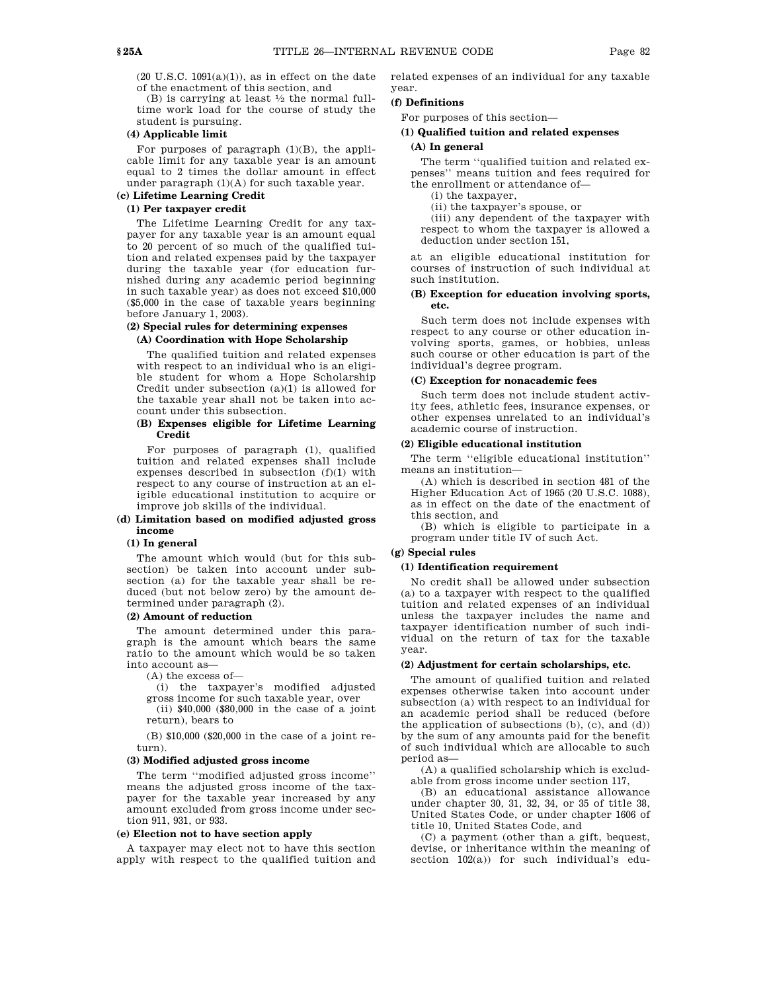$(20 \text{ U.S.C. } 1091(a)(1))$ , as in effect on the date of the enactment of this section, and

(B) is carrying at least  $\frac{1}{2}$  the normal fulltime work load for the course of study the student is pursuing.

## **(4) Applicable limit**

For purposes of paragraph  $(1)(B)$ , the applicable limit for any taxable year is an amount equal to 2 times the dollar amount in effect under paragraph  $(1)(A)$  for such taxable year.

# **(c) Lifetime Learning Credit**

# **(1) Per taxpayer credit**

The Lifetime Learning Credit for any taxpayer for any taxable year is an amount equal to 20 percent of so much of the qualified tuition and related expenses paid by the taxpayer during the taxable year (for education furnished during any academic period beginning in such taxable year) as does not exceed \$10,000 (\$5,000 in the case of taxable years beginning before January 1, 2003).

# **(2) Special rules for determining expenses**

# **(A) Coordination with Hope Scholarship**

The qualified tuition and related expenses with respect to an individual who is an eligible student for whom a Hope Scholarship Credit under subsection  $(a)(1)$  is allowed for the taxable year shall not be taken into account under this subsection.

# **(B) Expenses eligible for Lifetime Learning Credit**

For purposes of paragraph (1), qualified tuition and related expenses shall include expenses described in subsection (f)(1) with respect to any course of instruction at an eligible educational institution to acquire or improve job skills of the individual.

# **(d) Limitation based on modified adjusted gross income**

## **(1) In general**

The amount which would (but for this subsection) be taken into account under subsection (a) for the taxable year shall be reduced (but not below zero) by the amount determined under paragraph (2).

# **(2) Amount of reduction**

The amount determined under this paragraph is the amount which bears the same ratio to the amount which would be so taken into account as—

(A) the excess of—

(i) the taxpayer's modified adjusted

gross income for such taxable year, over (ii) \$40,000 (\$80,000 in the case of a joint return), bears to

(B) \$10,000 (\$20,000 in the case of a joint return).

## **(3) Modified adjusted gross income**

The term ''modified adjusted gross income'' means the adjusted gross income of the taxpayer for the taxable year increased by any amount excluded from gross income under section 911, 931, or 933.

## **(e) Election not to have section apply**

A taxpayer may elect not to have this section apply with respect to the qualified tuition and related expenses of an individual for any taxable year.

# **(f) Definitions**

For purposes of this section—

# **(1) Qualified tuition and related expenses (A) In general**

The term ''qualified tuition and related expenses'' means tuition and fees required for the enrollment or attendance of—

(i) the taxpayer,

(ii) the taxpayer's spouse, or

(iii) any dependent of the taxpayer with respect to whom the taxpayer is allowed a deduction under section 151,

at an eligible educational institution for courses of instruction of such individual at such institution.

# **(B) Exception for education involving sports, etc.**

Such term does not include expenses with respect to any course or other education involving sports, games, or hobbies, unless such course or other education is part of the individual's degree program.

# **(C) Exception for nonacademic fees**

Such term does not include student activity fees, athletic fees, insurance expenses, or other expenses unrelated to an individual's academic course of instruction.

## **(2) Eligible educational institution**

The term ''eligible educational institution'' means an institution—

(A) which is described in section 481 of the Higher Education Act of 1965 (20 U.S.C. 1088), as in effect on the date of the enactment of this section, and

(B) which is eligible to participate in a program under title IV of such Act.

# **(g) Special rules**

#### **(1) Identification requirement**

No credit shall be allowed under subsection (a) to a taxpayer with respect to the qualified tuition and related expenses of an individual unless the taxpayer includes the name and taxpayer identification number of such individual on the return of tax for the taxable year.

## **(2) Adjustment for certain scholarships, etc.**

The amount of qualified tuition and related expenses otherwise taken into account under subsection (a) with respect to an individual for an academic period shall be reduced (before the application of subsections (b), (c), and (d)) by the sum of any amounts paid for the benefit of such individual which are allocable to such period as—

(A) a qualified scholarship which is excludable from gross income under section 117,

(B) an educational assistance allowance under chapter 30, 31, 32, 34, or 35 of title 38, United States Code, or under chapter 1606 of title 10, United States Code, and

(C) a payment (other than a gift, bequest, devise, or inheritance within the meaning of section 102(a)) for such individual's edu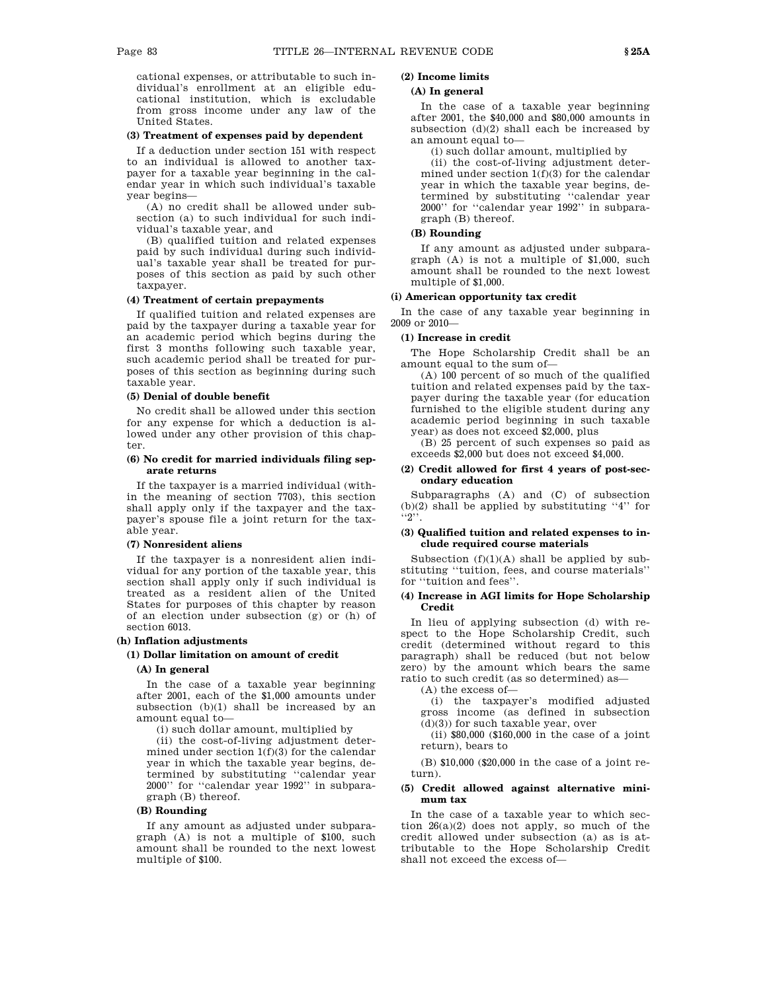cational expenses, or attributable to such individual's enrollment at an eligible educational institution, which is excludable from gross income under any law of the United States.

# **(3) Treatment of expenses paid by dependent**

If a deduction under section 151 with respect to an individual is allowed to another taxpayer for a taxable year beginning in the calendar year in which such individual's taxable year begins—

(A) no credit shall be allowed under subsection (a) to such individual for such individual's taxable year, and

(B) qualified tuition and related expenses paid by such individual during such individual's taxable year shall be treated for purposes of this section as paid by such other taxpayer.

## **(4) Treatment of certain prepayments**

If qualified tuition and related expenses are paid by the taxpayer during a taxable year for an academic period which begins during the first 3 months following such taxable year, such academic period shall be treated for purposes of this section as beginning during such taxable year.

## **(5) Denial of double benefit**

No credit shall be allowed under this section for any expense for which a deduction is allowed under any other provision of this chapter.

# **(6) No credit for married individuals filing separate returns**

If the taxpayer is a married individual (within the meaning of section 7703), this section shall apply only if the taxpayer and the taxpayer's spouse file a joint return for the taxable year.

## **(7) Nonresident aliens**

If the taxpayer is a nonresident alien individual for any portion of the taxable year, this section shall apply only if such individual is treated as a resident alien of the United States for purposes of this chapter by reason of an election under subsection (g) or (h) of section 6013.

# **(h) Inflation adjustments**

**(1) Dollar limitation on amount of credit**

# **(A) In general**

In the case of a taxable year beginning after 2001, each of the \$1,000 amounts under subsection (b)(1) shall be increased by an amount equal to—

(i) such dollar amount, multiplied by

(ii) the cost-of-living adjustment determined under section 1(f)(3) for the calendar year in which the taxable year begins, determined by substituting ''calendar year 2000'' for ''calendar year 1992'' in subparagraph (B) thereof.

## **(B) Rounding**

If any amount as adjusted under subparagraph (A) is not a multiple of \$100, such amount shall be rounded to the next lowest multiple of \$100.

# **(2) Income limits**

# **(A) In general**

In the case of a taxable year beginning after 2001, the \$40,000 and \$80,000 amounts in subsection (d)(2) shall each be increased by an amount equal to—

(i) such dollar amount, multiplied by

(ii) the cost-of-living adjustment determined under section  $1(f)(3)$  for the calendar year in which the taxable year begins, determined by substituting ''calendar year 2000'' for ''calendar year 1992'' in subparagraph (B) thereof.

# **(B) Rounding**

If any amount as adjusted under subparagraph (A) is not a multiple of \$1,000, such amount shall be rounded to the next lowest multiple of \$1,000.

## **(i) American opportunity tax credit**

In the case of any taxable year beginning in 2009 or 2010—

### **(1) Increase in credit**

The Hope Scholarship Credit shall be an amount equal to the sum of—

(A) 100 percent of so much of the qualified tuition and related expenses paid by the taxpayer during the taxable year (for education furnished to the eligible student during any academic period beginning in such taxable year) as does not exceed \$2,000, plus

(B) 25 percent of such expenses so paid as exceeds \$2,000 but does not exceed \$4,000.

# **(2) Credit allowed for first 4 years of post-secondary education**

Subparagraphs (A) and (C) of subsection  $(b)(2)$  shall be applied by substituting "4" for  $\cdot \cdot$   $\cdot$   $\cdot$ 

# **(3) Qualified tuition and related expenses to include required course materials**

Subsection  $(f)(1)(A)$  shall be applied by substituting ''tuition, fees, and course materials'' for ''tuition and fees''.

## **(4) Increase in AGI limits for Hope Scholarship Credit**

In lieu of applying subsection (d) with respect to the Hope Scholarship Credit, such credit (determined without regard to this paragraph) shall be reduced (but not below zero) by the amount which bears the same ratio to such credit (as so determined) as—

(A) the excess of—

(i) the taxpayer's modified adjusted gross income (as defined in subsection (d)(3)) for such taxable year, over

(ii) \$80,000 (\$160,000 in the case of a joint return), bears to

(B) \$10,000 (\$20,000 in the case of a joint return).

## **(5) Credit allowed against alternative minimum tax**

In the case of a taxable year to which section  $26(a)(2)$  does not apply, so much of the credit allowed under subsection (a) as is attributable to the Hope Scholarship Credit shall not exceed the excess of—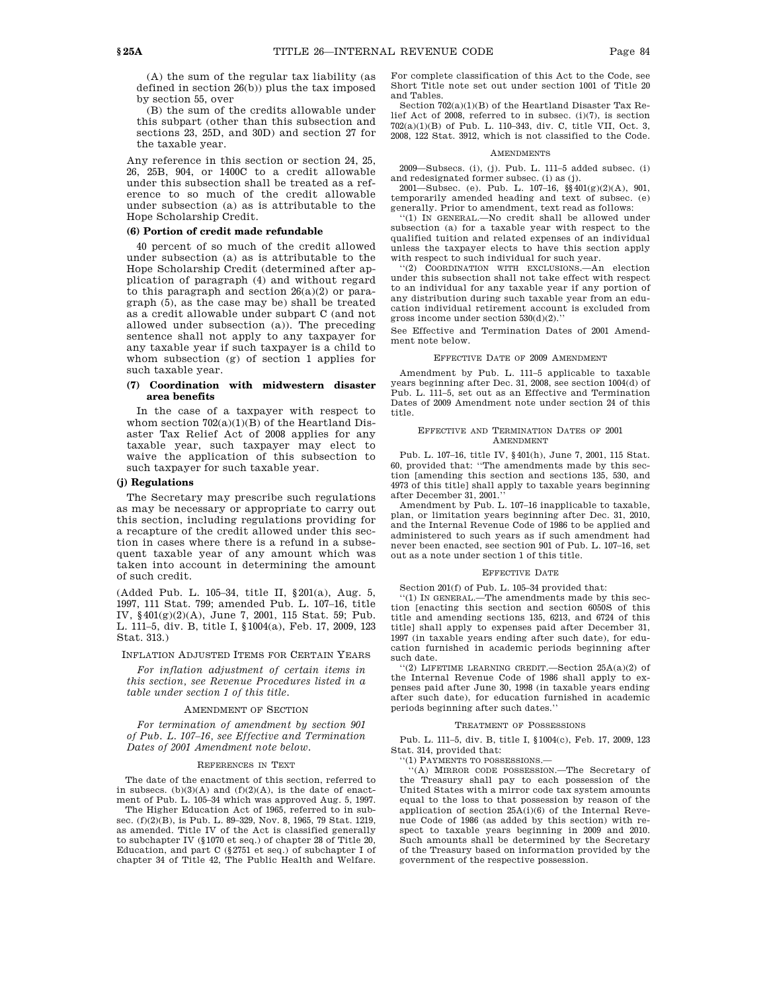(A) the sum of the regular tax liability (as defined in section 26(b)) plus the tax imposed by section 55, over

(B) the sum of the credits allowable under this subpart (other than this subsection and sections 23, 25D, and 30D) and section 27 for the taxable year.

Any reference in this section or section 24, 25, 26, 25B, 904, or 1400C to a credit allowable under this subsection shall be treated as a reference to so much of the credit allowable under subsection (a) as is attributable to the Hope Scholarship Credit.

## **(6) Portion of credit made refundable**

40 percent of so much of the credit allowed under subsection (a) as is attributable to the Hope Scholarship Credit (determined after application of paragraph (4) and without regard to this paragraph and section 26(a)(2) or paragraph (5), as the case may be) shall be treated as a credit allowable under subpart C (and not allowed under subsection (a)). The preceding sentence shall not apply to any taxpayer for any taxable year if such taxpayer is a child to whom subsection (g) of section 1 applies for such taxable year.

## **(7) Coordination with midwestern disaster area benefits**

In the case of a taxpayer with respect to whom section  $702(a)(1)(B)$  of the Heartland Disaster Tax Relief Act of 2008 applies for any taxable year, such taxpayer may elect to waive the application of this subsection to such taxpayer for such taxable year.

# **(j) Regulations**

The Secretary may prescribe such regulations as may be necessary or appropriate to carry out this section, including regulations providing for a recapture of the credit allowed under this section in cases where there is a refund in a subsequent taxable year of any amount which was taken into account in determining the amount of such credit.

(Added Pub. L. 105–34, title II, §201(a), Aug. 5, 1997, 111 Stat. 799; amended Pub. L. 107–16, title IV, §401(g)(2)(A), June 7, 2001, 115 Stat. 59; Pub. L. 111–5, div. B, title I, §1004(a), Feb. 17, 2009, 123 Stat. 313.)

INFLATION ADJUSTED ITEMS FOR CERTAIN YEARS

*For inflation adjustment of certain items in this section, see Revenue Procedures listed in a table under section 1 of this title.*

## AMENDMENT OF SECTION

*For termination of amendment by section 901 of Pub. L. 107–16, see Effective and Termination Dates of 2001 Amendment note below.*

#### REFERENCES IN TEXT

The date of the enactment of this section, referred to in subsecs.  $(b)(3)(A)$  and  $(f)(2)(A)$ , is the date of enactment of Pub. L. 105–34 which was approved Aug. 5, 1997.

The Higher Education Act of 1965, referred to in subsec. (f)(2)(B), is Pub. L. 89-329, Nov. 8, 1965, 79 Stat. 1219, as amended. Title IV of the Act is classified generally to subchapter IV (§1070 et seq.) of chapter 28 of Title 20, Education, and part C (§2751 et seq.) of subchapter I of chapter 34 of Title 42, The Public Health and Welfare. For complete classification of this Act to the Code, see Short Title note set out under section 1001 of Title 20 and Tables.

Section 702(a)(1)(B) of the Heartland Disaster Tax Relief Act of 2008, referred to in subsec. (i)(7), is section 702(a)(1)(B) of Pub. L. 110–343, div. C, title VII, Oct. 3, 2008, 122 Stat. 3912, which is not classified to the Code.

## **AMENDMENTS**

2009—Subsecs. (i), (j). Pub. L. 111–5 added subsec. (i) and redesignated former subsec. (i) as (j).

2001—Subsec. (e). Pub. L. 107–16, §§401(g)(2)(A), 901, temporarily amended heading and text of subsec. (e) generally. Prior to amendment, text read as follows:

''(1) IN GENERAL.—No credit shall be allowed under subsection (a) for a taxable year with respect to the qualified tuition and related expenses of an individual unless the taxpayer elects to have this section apply with respect to such individual for such year.

''(2) COORDINATION WITH EXCLUSIONS.—An election under this subsection shall not take effect with respect to an individual for any taxable year if any portion of any distribution during such taxable year from an education individual retirement account is excluded from gross income under section 530(d)(2).''

See Effective and Termination Dates of 2001 Amendment note below.

#### EFFECTIVE DATE OF 2009 AMENDMENT

Amendment by Pub. L. 111–5 applicable to taxable years beginning after Dec. 31, 2008, see section 1004(d) of Pub. L. 111–5, set out as an Effective and Termination Dates of 2009 Amendment note under section 24 of this title.

## EFFECTIVE AND TERMINATION DATES OF 2001 AMENDMENT

Pub. L. 107–16, title IV, §401(h), June 7, 2001, 115 Stat. 60, provided that: ''The amendments made by this section [amending this section and sections 135, 530, and 4973 of this title] shall apply to taxable years beginning after December 31, 2001.''

Amendment by Pub. L. 107–16 inapplicable to taxable, plan, or limitation years beginning after Dec. 31, 2010, and the Internal Revenue Code of 1986 to be applied and administered to such years as if such amendment had never been enacted, see section 901 of Pub. L. 107–16, set out as a note under section 1 of this title.

#### EFFECTIVE DATE

Section 201(f) of Pub. L. 105–34 provided that:

''(1) IN GENERAL.—The amendments made by this section [enacting this section and section 6050S of this title and amending sections 135, 6213, and 6724 of this title] shall apply to expenses paid after December 31, 1997 (in taxable years ending after such date), for education furnished in academic periods beginning after such date.

 $(2)$  LIFETIME LEARNING CREDIT.—Section  $25A(a)(2)$  of the Internal Revenue Code of 1986 shall apply to expenses paid after June 30, 1998 (in taxable years ending after such date), for education furnished in academic periods beginning after such dates.''

#### TREATMENT OF POSSESSIONS

Pub. L. 111–5, div. B, title I, §1004(c), Feb. 17, 2009, 123 Stat. 314, provided that:

'(1) PAYMENTS TO POSSESSIONS.-

''(A) MIRROR CODE POSSESSION.—The Secretary of the Treasury shall pay to each possession of the United States with a mirror code tax system amounts equal to the loss to that possession by reason of the application of section 25A(i)(6) of the Internal Revenue Code of 1986 (as added by this section) with respect to taxable years beginning in 2009 and 2010. Such amounts shall be determined by the Secretary of the Treasury based on information provided by the government of the respective possession.